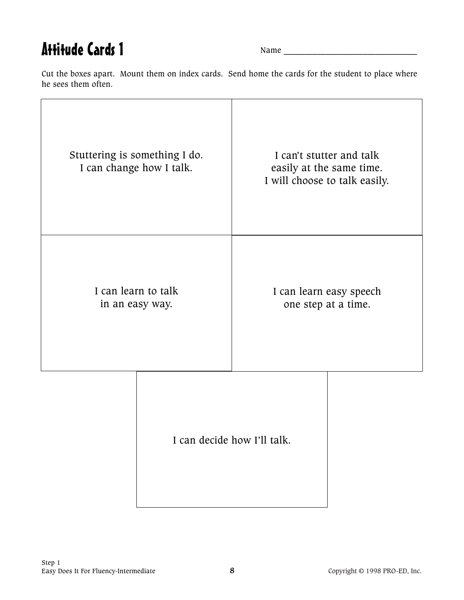## Attitude Cards 1

Name \_\_\_\_\_\_\_\_\_\_\_\_\_\_\_\_\_\_\_\_\_\_\_\_\_\_\_\_\_\_\_\_

Cut the boxes apart. Mount them on index cards. Send home the cards for the student to place where he sees them often.

| Stuttering is something I do.<br>I can change how I talk. |                             | I can't stutter and talk<br>easily at the same time.<br>I will choose to talk easily. |  |
|-----------------------------------------------------------|-----------------------------|---------------------------------------------------------------------------------------|--|
| I can learn to talk<br>in an easy way.                    |                             | I can learn easy speech<br>one step at a time.                                        |  |
|                                                           | I can decide how I'll talk. |                                                                                       |  |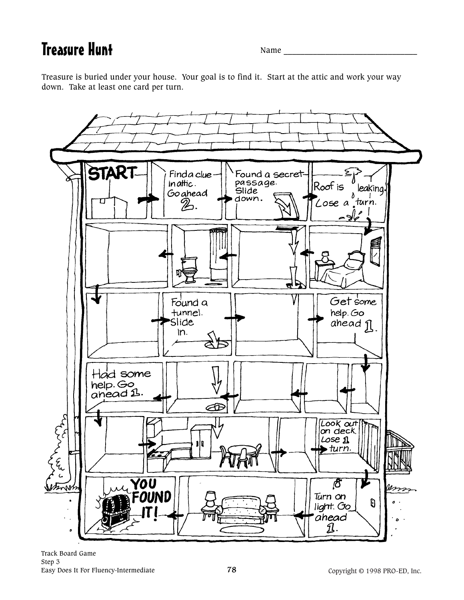Treasure Hunt Name \_\_\_\_\_\_\_\_\_\_\_\_\_\_\_\_\_\_\_\_\_\_\_\_\_\_\_\_\_\_\_\_

Treasure is buried under your house. Your goal is to find it. Start at the attic and work your way down. Take at least one card per turn.

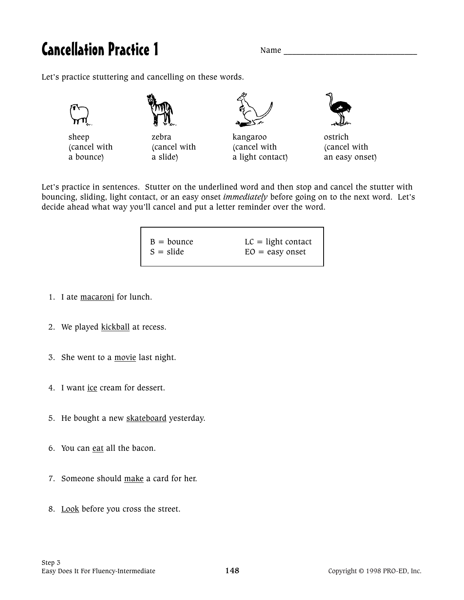## Cancellation Practice 1 Name League

Let's practice stuttering and cancelling on these words.











(cancel with (cancel with (cancel with (cancel with a bounce) a slide a slide a light contact an easy onset)

Let's practice in sentences. Stutter on the underlined word and then stop and cancel the stutter with bouncing, sliding, light contact, or an easy onset *immediately* before going on to the next word. Let's decide ahead what way you'll cancel and put a letter reminder over the word.

| $B = b$ ounce<br>$S = slide$ | $LC = light contact$ |
|------------------------------|----------------------|
|                              | $EO = easy onset$    |

- 1. I ate macaroni for lunch.
- 2. We played kickball at recess.
- 3. She went to a movie last night.
- 4. I want ice cream for dessert.
- 5. He bought a new skateboard yesterday.
- 6. You can eat all the bacon.
- 7. Someone should make a card for her.
- 8. Look before you cross the street.